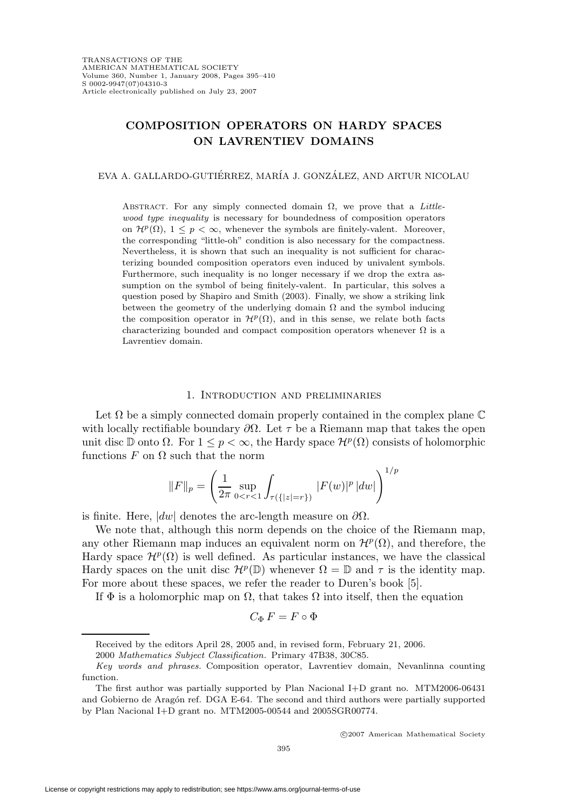# **COMPOSITION OPERATORS ON HARDY SPACES ON LAVRENTIEV DOMAINS**

#### EVA A. GALLARDO-GUTIÉRREZ, MARÍA J. GONZÁLEZ, AND ARTUR NICOLAU

ABSTRACT. For any simply connected domain  $\Omega$ , we prove that a Littlewood type inequality is necessary for boundedness of composition operators on  $\mathcal{H}^p(\Omega)$ ,  $1 \leq p < \infty$ , whenever the symbols are finitely-valent. Moreover, the corresponding "little-oh" condition is also necessary for the compactness. Nevertheless, it is shown that such an inequality is not sufficient for characterizing bounded composition operators even induced by univalent symbols. Furthermore, such inequality is no longer necessary if we drop the extra assumption on the symbol of being finitely-valent. In particular, this solves a question posed by Shapiro and Smith (2003). Finally, we show a striking link between the geometry of the underlying domain  $\Omega$  and the symbol inducing the composition operator in  $\mathcal{H}^p(\Omega)$ , and in this sense, we relate both facts characterizing bounded and compact composition operators whenever  $\Omega$  is a Lavrentiev domain.

#### 1. Introduction and preliminaries

Let  $\Omega$  be a simply connected domain properly contained in the complex plane  $\mathbb C$ with locally rectifiable boundary  $\partial\Omega$ . Let  $\tau$  be a Riemann map that takes the open unit disc D onto  $\Omega$ . For  $1 \leq p \leq \infty$ , the Hardy space  $\mathcal{H}^p(\Omega)$  consists of holomorphic functions  $F$  on  $\Omega$  such that the norm

$$
||F||_p = \left(\frac{1}{2\pi} \sup_{0 < r < 1} \int_{\tau(\{|z| = r\})} |F(w)|^p \, |dw|\right)^{1/p}
$$

is finite. Here,  $|dw|$  denotes the arc-length measure on  $\partial\Omega$ .

We note that, although this norm depends on the choice of the Riemann map, any other Riemann map induces an equivalent norm on  $\mathcal{H}^p(\Omega)$ , and therefore, the Hardy space  $\mathcal{H}^p(\Omega)$  is well defined. As particular instances, we have the classical Hardy spaces on the unit disc  $\mathcal{H}^p(\mathbb{D})$  whenever  $\Omega = \mathbb{D}$  and  $\tau$  is the identity map. For more about these spaces, we refer the reader to Duren's book [5].

If  $\Phi$  is a holomorphic map on  $\Omega$ , that takes  $\Omega$  into itself, then the equation

$$
C_{\Phi} F = F \circ \Phi
$$

Received by the editors April 28, 2005 and, in revised form, February 21, 2006.

<sup>2000</sup> Mathematics Subject Classification. Primary 47B38, 30C85.

Key words and phrases. Composition operator, Lavrentiev domain, Nevanlinna counting function.

The first author was partially supported by Plan Nacional I+D grant no. MTM2006-06431 and Gobierno de Aragón ref. DGA E-64. The second and third authors were partially supported by Plan Nacional I+D grant no. MTM2005-00544 and 2005SGR00774.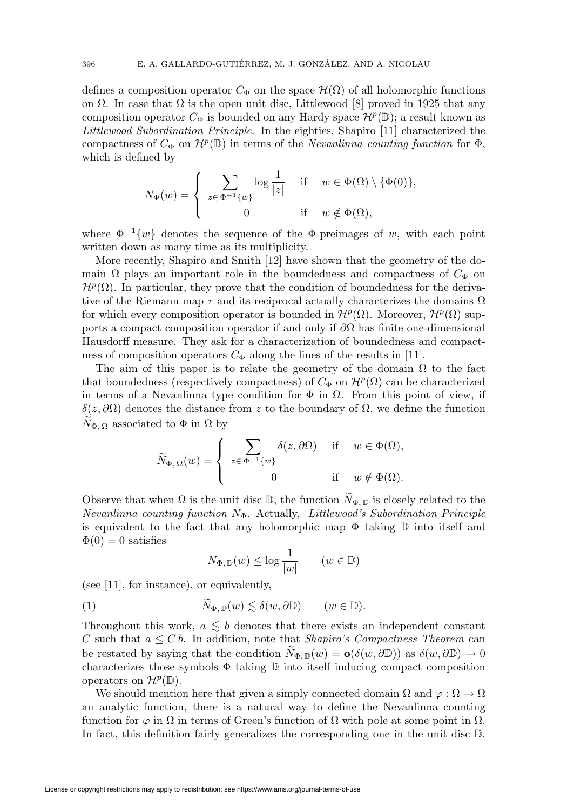defines a composition operator  $C_{\Phi}$  on the space  $\mathcal{H}(\Omega)$  of all holomorphic functions on  $\Omega$ . In case that  $\Omega$  is the open unit disc, Littlewood [8] proved in 1925 that any composition operator  $C_{\Phi}$  is bounded on any Hardy space  $\mathcal{H}^p(\mathbb{D})$ ; a result known as Littlewood Subordination Principle. In the eighties, Shapiro [11] characterized the compactness of  $C_{\Phi}$  on  $\mathcal{H}^p(\mathbb{D})$  in terms of the *Nevanlinna counting function* for  $\Phi$ , which is defined by

$$
N_{\Phi}(w) = \begin{cases} \sum_{z \in \Phi^{-1}\{w\}} \log \frac{1}{|z|} & \text{if } w \in \Phi(\Omega) \setminus \{\Phi(0)\}, \\ 0 & \text{if } w \notin \Phi(\Omega), \end{cases}
$$

where  $\Phi^{-1}\{w\}$  denotes the sequence of the  $\Phi$ -preimages of w, with each point written down as many time as its multiplicity.

More recently, Shapiro and Smith [12] have shown that the geometry of the domain  $\Omega$  plays an important role in the boundedness and compactness of  $C_{\Phi}$  on  $\mathcal{H}^p(\Omega)$ . In particular, they prove that the condition of boundedness for the derivative of the Riemann map  $\tau$  and its reciprocal actually characterizes the domains  $\Omega$ for which every composition operator is bounded in  $\mathcal{H}^p(\Omega)$ . Moreover,  $\mathcal{H}^p(\Omega)$  supports a compact composition operator if and only if  $\partial\Omega$  has finite one-dimensional Hausdorff measure. They ask for a characterization of boundedness and compactness of composition operators  $C_{\Phi}$  along the lines of the results in [11].

The aim of this paper is to relate the geometry of the domain  $\Omega$  to the fact that boundedness (respectively compactness) of  $C_{\Phi}$  on  $\mathcal{H}^p(\Omega)$  can be characterized in terms of a Nevanlinna type condition for  $\Phi$  in  $\Omega$ . From this point of view, if δ(z,∂Ω) denotes the distance from z to the boundary of Ω, we define the function  $N_{\Phi, \Omega}$  associated to  $\Phi$  in  $\Omega$  by

$$
\widetilde{N}_{\Phi,\,\Omega}(w) = \begin{cases} \sum_{z\in\,\Phi^{-1}\{w\}} \delta(z,\partial\Omega) & \text{if} \quad w\in\Phi(\Omega), \\ 0 & \text{if} \quad w\notin\Phi(\Omega). \end{cases}
$$

Observe that when  $\Omega$  is the unit disc  $\mathbb{D}$ , the function  $N_{\Phi, \mathbb{D}}$  is closely related to the Nevanlinna counting function  $N_{\Phi}$ . Actually, Littlewood's Subordination Principle is equivalent to the fact that any holomorphic map  $\Phi$  taking  $\mathbb D$  into itself and  $\Phi(0) = 0$  satisfies

$$
N_{\Phi, \mathbb{D}}(w) \le \log \frac{1}{|w|} \qquad (w \in \mathbb{D})
$$

(see [11], for instance), or equivalently,

(1) 
$$
N_{\Phi, \mathbb{D}}(w) \lesssim \delta(w, \partial \mathbb{D})
$$
  $(w \in \mathbb{D}).$ 

Throughout this work,  $a \leq b$  denotes that there exists an independent constant C such that  $a \leq C b$ . In addition, note that Shapiro's Compactness Theorem can be restated by saying that the condition  $N_{\Phi, \mathbb{D}}(w) = o(\delta(w, \partial \mathbb{D}))$  as  $\delta(w, \partial \mathbb{D}) \to 0$ characterizes those symbols  $\Phi$  taking  $\mathbb D$  into itself inducing compact composition operators on  $\mathcal{H}^p(\mathbb{D})$ .

We should mention here that given a simply connected domain  $\Omega$  and  $\varphi : \Omega \to \Omega$ an analytic function, there is a natural way to define the Nevanlinna counting function for  $\varphi$  in  $\Omega$  in terms of Green's function of  $\Omega$  with pole at some point in  $\Omega$ . In fact, this definition fairly generalizes the corresponding one in the unit disc  $\mathbb{D}$ .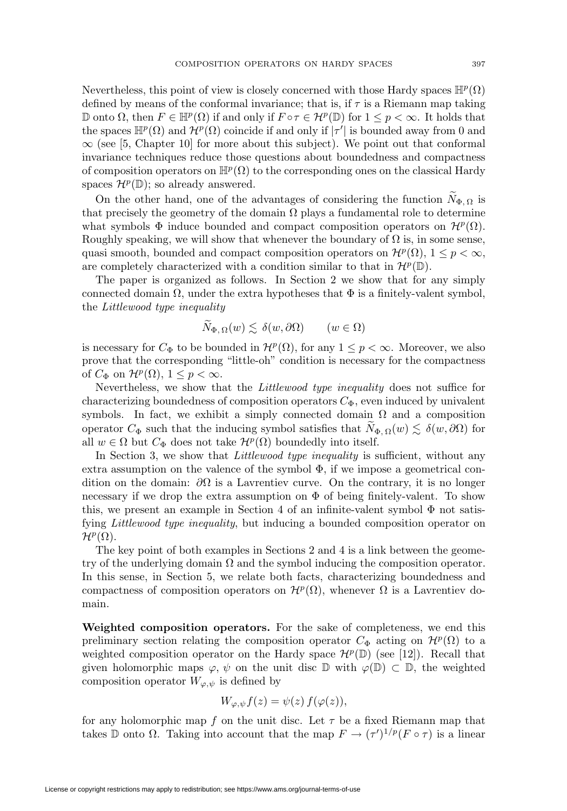Nevertheless, this point of view is closely concerned with those Hardy spaces  $\mathbb{H}^p(\Omega)$ defined by means of the conformal invariance; that is, if  $\tau$  is a Riemann map taking D onto  $\Omega$ , then  $F \in \mathbb{H}^p(\Omega)$  if and only if  $F \circ \tau \in \mathcal{H}^p(\mathbb{D})$  for  $1 \leq p \leq \infty$ . It holds that the spaces  $\mathbb{H}^p(\Omega)$  and  $\mathcal{H}^p(\Omega)$  coincide if and only if  $|\tau'|$  is bounded away from 0 and  $\infty$  (see [5, Chapter 10] for more about this subject). We point out that conformal invariance techniques reduce those questions about boundedness and compactness of composition operators on  $\mathbb{H}^p(\Omega)$  to the corresponding ones on the classical Hardy spaces  $\mathcal{H}^p(\mathbb{D})$ ; so already answered.

On the other hand, one of the advantages of considering the function  $N_{\Phi,\Omega}$  is that precisely the geometry of the domain  $\Omega$  plays a fundamental role to determine what symbols  $\Phi$  induce bounded and compact composition operators on  $\mathcal{H}^p(\Omega)$ . Roughly speaking, we will show that whenever the boundary of  $\Omega$  is, in some sense, quasi smooth, bounded and compact composition operators on  $\mathcal{H}^p(\Omega)$ ,  $1 \leq p < \infty$ , are completely characterized with a condition similar to that in  $\mathcal{H}^p(\mathbb{D})$ .

The paper is organized as follows. In Section 2 we show that for any simply connected domain  $\Omega$ , under the extra hypotheses that  $\Phi$  is a finitely-valent symbol, the Littlewood type inequality

$$
N_{\Phi,\,\Omega}(w) \lesssim \,\delta(w,\partial\Omega) \qquad (w \in \Omega)
$$

is necessary for  $C_{\Phi}$  to be bounded in  $\mathcal{H}^p(\Omega)$ , for any  $1 \leq p < \infty$ . Moreover, we also prove that the corresponding "little-oh" condition is necessary for the compactness of  $C_{\Phi}$  on  $\mathcal{H}^p(\Omega)$ ,  $1 \leq p < \infty$ .

Nevertheless, we show that the Littlewood type inequality does not suffice for characterizing boundedness of composition operators  $C_{\Phi}$ , even induced by univalent symbols. In fact, we exhibit a simply connected domain  $\Omega$  and a composition operator  $C_{\Phi}$  such that the inducing symbol satisfies that  $N_{\Phi,\Omega}(w) \lesssim \delta(w,\partial\Omega)$  for all  $w \in \Omega$  but  $C_{\Phi}$  does not take  $\mathcal{H}^{p}(\Omega)$  boundedly into itself.

In Section 3, we show that *Littlewood type inequality* is sufficient, without any extra assumption on the valence of the symbol  $\Phi$ , if we impose a geometrical condition on the domain:  $\partial\Omega$  is a Lavrentiev curve. On the contrary, it is no longer necessary if we drop the extra assumption on  $\Phi$  of being finitely-valent. To show this, we present an example in Section 4 of an infinite-valent symbol  $\Phi$  not satisfying Littlewood type inequality, but inducing a bounded composition operator on  $\mathcal{H}^p(\Omega)$ .

The key point of both examples in Sections 2 and 4 is a link between the geometry of the underlying domain  $\Omega$  and the symbol inducing the composition operator. In this sense, in Section 5, we relate both facts, characterizing boundedness and compactness of composition operators on  $\mathcal{H}^p(\Omega)$ , whenever  $\Omega$  is a Lavrentiev domain.

**Weighted composition operators.** For the sake of completeness, we end this preliminary section relating the composition operator  $C_{\Phi}$  acting on  $\mathcal{H}^p(\Omega)$  to a weighted composition operator on the Hardy space  $\mathcal{H}^p(\mathbb{D})$  (see [12]). Recall that given holomorphic maps  $\varphi, \psi$  on the unit disc  $\mathbb D$  with  $\varphi(\mathbb D) \subset \mathbb D$ , the weighted composition operator  $W_{\varphi,\psi}$  is defined by

$$
W_{\varphi,\psi}f(z) = \psi(z) f(\varphi(z)),
$$

for any holomorphic map f on the unit disc. Let  $\tau$  be a fixed Riemann map that takes D onto  $\Omega$ . Taking into account that the map  $F \to (\tau')^{1/p} (F \circ \tau)$  is a linear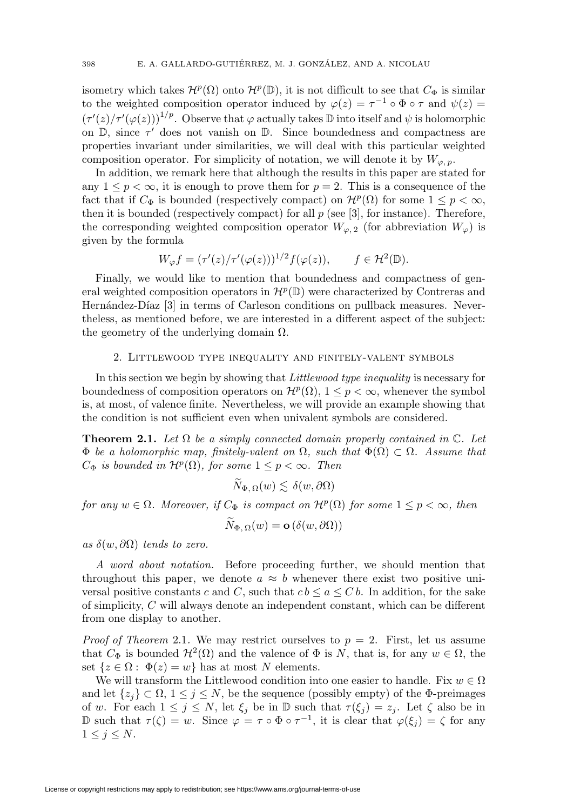isometry which takes  $\mathcal{H}^p(\Omega)$  onto  $\mathcal{H}^p(\mathbb{D})$ , it is not difficult to see that  $C_{\Phi}$  is similar to the weighted composition operator induced by  $\varphi(z) = \tau^{-1} \circ \Phi \circ \tau$  and  $\psi(z) =$  $(\tau'(z)/\tau'(\varphi(z)))^{1/p}$ . Observe that  $\varphi$  actually takes  $\mathbb D$  into itself and  $\psi$  is holomorphic on  $\mathbb{D}$ , since  $\tau'$  does not vanish on  $\mathbb{D}$ . Since boundedness and compactness are properties invariant under similarities, we will deal with this particular weighted composition operator. For simplicity of notation, we will denote it by  $W_{\varphi, p}$ .

In addition, we remark here that although the results in this paper are stated for any  $1 \leq p < \infty$ , it is enough to prove them for  $p = 2$ . This is a consequence of the fact that if  $C_{\Phi}$  is bounded (respectively compact) on  $\mathcal{H}^p(\Omega)$  for some  $1 \leq p < \infty$ , then it is bounded (respectively compact) for all  $p$  (see [3], for instance). Therefore, the corresponding weighted composition operator  $W_{\varphi,2}$  (for abbreviation  $W_{\varphi}$ ) is given by the formula

$$
W_{\varphi}f = (\tau'(z)/\tau'(\varphi(z)))^{1/2} f(\varphi(z)), \qquad f \in \mathcal{H}^2(\mathbb{D}).
$$

Finally, we would like to mention that boundedness and compactness of general weighted composition operators in  $\mathcal{H}^p(\mathbb{D})$  were characterized by Contreras and Hernández-Díaz [3] in terms of Carleson conditions on pullback measures. Nevertheless, as mentioned before, we are interested in a different aspect of the subject: the geometry of the underlying domain  $\Omega$ .

# 2. Littlewood type inequality and finitely-valent symbols

In this section we begin by showing that *Littlewood type inequality* is necessary for boundedness of composition operators on  $\mathcal{H}^p(\Omega)$ ,  $1 \leq p \leq \infty$ , whenever the symbol is, at most, of valence finite. Nevertheless, we will provide an example showing that the condition is not sufficient even when univalent symbols are considered.

**Theorem 2.1.** Let  $\Omega$  be a simply connected domain properly contained in  $\mathbb{C}$ . Let  $\Phi$  be a holomorphic map, finitely-valent on  $\Omega$ , such that  $\Phi(\Omega) \subset \Omega$ . Assume that  $C_{\Phi}$  is bounded in  $\mathcal{H}^p(\Omega)$ , for some  $1 \leq p < \infty$ . Then

$$
\widetilde{N}_{\Phi,\,\Omega}(w) \lesssim \,\delta(w,\partial\Omega)
$$

for any  $w \in \Omega$ . Moreover, if  $C_{\Phi}$  is compact on  $\mathcal{H}^p(\Omega)$  for some  $1 \leq p < \infty$ , then

$$
N_{\Phi,\,\Omega}(w) = \mathbf{o}\left(\delta(w,\partial\Omega)\right)
$$

as  $\delta(w, \partial\Omega)$  tends to zero.

A word about notation. Before proceeding further, we should mention that throughout this paper, we denote  $a \approx b$  whenever there exist two positive universal positive constants c and C, such that  $cb \le a \le C b$ . In addition, for the sake of simplicity, C will always denote an independent constant, which can be different from one display to another.

*Proof of Theorem 2.1.* We may restrict ourselves to  $p = 2$ . First, let us assume that  $C_{\Phi}$  is bounded  $\mathcal{H}^2(\Omega)$  and the valence of  $\Phi$  is N, that is, for any  $w \in \Omega$ , the set  $\{z \in \Omega : \Phi(z) = w\}$  has at most N elements.

We will transform the Littlewood condition into one easier to handle. Fix  $w \in \Omega$ and let  $\{z_i\} \subset \Omega$ ,  $1 \leq j \leq N$ , be the sequence (possibly empty) of the  $\Phi$ -preimages of w. For each  $1 \leq j \leq N$ , let  $\xi_j$  be in  $\mathbb D$  such that  $\tau(\xi_j) = z_j$ . Let  $\zeta$  also be in D such that  $\tau(\zeta) = w$ . Since  $\varphi = \tau \circ \Phi \circ \tau^{-1}$ , it is clear that  $\varphi(\xi_i) = \zeta$  for any  $1 \leq j \leq N$ .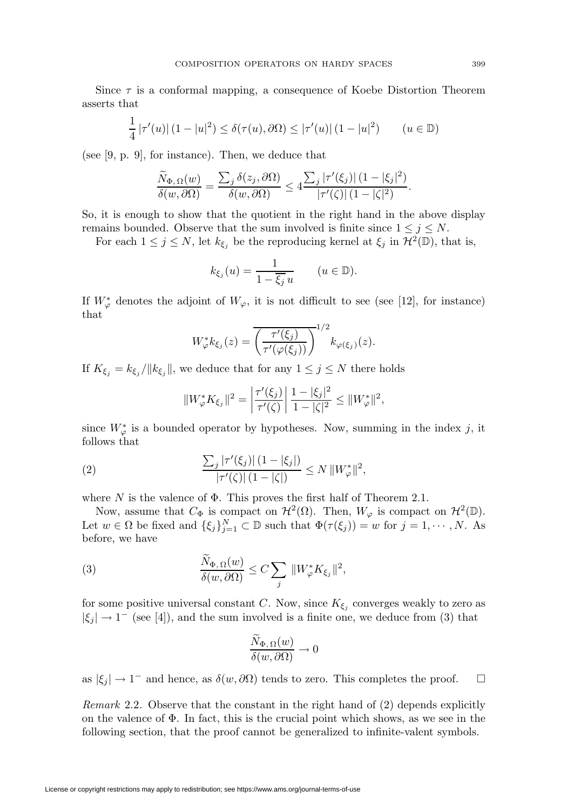Since  $\tau$  is a conformal mapping, a consequence of Koebe Distortion Theorem asserts that

$$
\frac{1}{4} |\tau'(u)| (1 - |u|^2) \le \delta(\tau(u), \partial\Omega) \le |\tau'(u)| (1 - |u|^2) \qquad (u \in \mathbb{D})
$$

(see [9, p. 9], for instance). Then, we deduce that

$$
\frac{\widetilde{N}_{\Phi,\Omega}(w)}{\delta(w,\partial\Omega)} = \frac{\sum_{j} \delta(z_j,\partial\Omega)}{\delta(w,\partial\Omega)} \leq 4 \frac{\sum_{j} |\tau'(\xi_j)| (1-|\xi_j|^2)}{|\tau'(\zeta)| (1-|\zeta|^2)}.
$$

So, it is enough to show that the quotient in the right hand in the above display remains bounded. Observe that the sum involved is finite since  $1 \leq j \leq N$ .

For each  $1 \leq j \leq N$ , let  $k_{\xi_j}$  be the reproducing kernel at  $\xi_j$  in  $\mathcal{H}^2(\mathbb{D})$ , that is,

$$
k_{\xi_j}(u) = \frac{1}{1 - \overline{\xi_j} u} \qquad (u \in \mathbb{D}).
$$

If  $W^*_{\varphi}$  denotes the adjoint of  $W_{\varphi}$ , it is not difficult to see (see [12], for instance) that

$$
W_{\varphi}^* k_{\xi_j}(z) = \overline{\left(\frac{\tau'(\xi_j)}{\tau'(\varphi(\xi_j))}\right)}^{1/2} k_{\varphi(\xi_j)}(z).
$$

If  $K_{\xi_j} = k_{\xi_j}/||k_{\xi_j}||$ , we deduce that for any  $1 \leq j \leq N$  there holds

$$
||W_{\varphi}^* K_{\xi_j}||^2 = \left|\frac{\tau'(\xi_j)}{\tau'(\zeta)}\right| \frac{1 - |\xi_j|^2}{1 - |\zeta|^2} \leq ||W_{\varphi}^*||^2,
$$

since  $W^*_{\varphi}$  is a bounded operator by hypotheses. Now, summing in the index j, it follows that

(2) 
$$
\frac{\sum_{j} |\tau'(\xi_{j})| (1-|\xi_{j}|)}{|\tau'(\zeta)| (1-|\zeta|)} \leq N ||W_{\varphi}^{*}||^{2},
$$

where  $N$  is the valence of  $\Phi$ . This proves the first half of Theorem 2.1.

Now, assume that  $C_{\Phi}$  is compact on  $\mathcal{H}^2(\Omega)$ . Then,  $W_{\varphi}$  is compact on  $\mathcal{H}^2(\mathbb{D})$ . Let  $w \in \Omega$  be fixed and  $\{\xi_j\}_{j=1}^N \subset \mathbb{D}$  such that  $\Phi(\tau(\xi_j)) = w$  for  $j = 1, \dots, N$ . As before, we have

(3) 
$$
\frac{N_{\Phi,\Omega}(w)}{\delta(w,\partial\Omega)} \leq C \sum_j \|W_{\varphi}^* K_{\xi_j}\|^2,
$$

for some positive universal constant C. Now, since  $K_{\xi_j}$  converges weakly to zero as  $|\xi_i| \rightarrow 1^-$  (see [4]), and the sum involved is a finite one, we deduce from (3) that

$$
\frac{N_{\Phi,\,\Omega}(w)}{\delta(w,\partial\Omega)}\to 0
$$

as  $|\xi_j| \to 1^-$  and hence, as  $\delta(w, \partial\Omega)$  tends to zero. This completes the proof.  $\Box$ 

*Remark* 2.2. Observe that the constant in the right hand of  $(2)$  depends explicitly on the valence of  $\Phi$ . In fact, this is the crucial point which shows, as we see in the following section, that the proof cannot be generalized to infinite-valent symbols.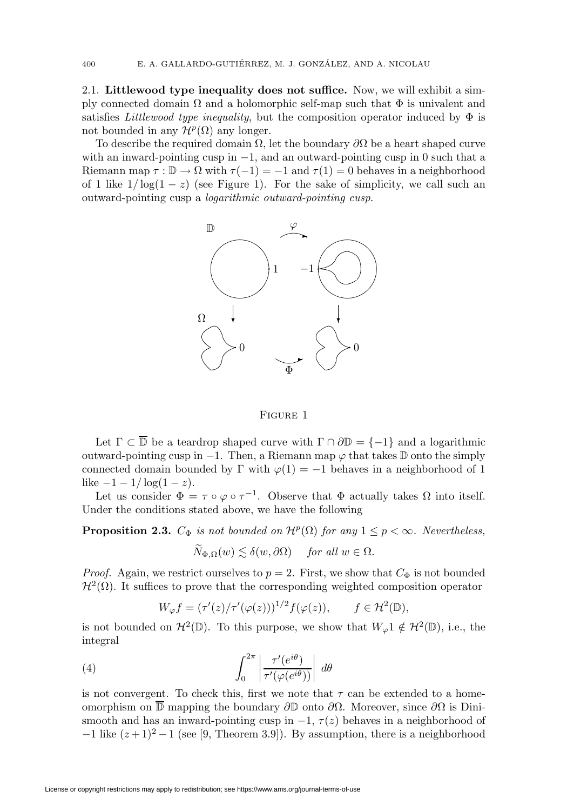2.1. **Littlewood type inequality does not suffice.** Now, we will exhibit a simply connected domain  $\Omega$  and a holomorphic self-map such that  $\Phi$  is univalent and satisfies Littlewood type inequality, but the composition operator induced by  $\Phi$  is not bounded in any  $\mathcal{H}^p(\Omega)$  any longer.

To describe the required domain  $\Omega$ , let the boundary  $\partial\Omega$  be a heart shaped curve with an inward-pointing cusp in  $-1$ , and an outward-pointing cusp in 0 such that a Riemann map  $\tau : \mathbb{D} \to \Omega$  with  $\tau(-1) = -1$  and  $\tau(1) = 0$  behaves in a neighborhood of 1 like  $1/\log(1-z)$  (see Figure 1). For the sake of simplicity, we call such an outward-pointing cusp a logarithmic outward-pointing cusp.



Figure 1

Let  $\Gamma \subset \overline{\mathbb{D}}$  be a teardrop shaped curve with  $\Gamma \cap \partial \mathbb{D} = \{-1\}$  and a logarithmic outward-pointing cusp in  $-1$ . Then, a Riemann map  $\varphi$  that takes  $\mathbb D$  onto the simply connected domain bounded by  $\Gamma$  with  $\varphi(1) = -1$  behaves in a neighborhood of 1 like  $-1 - 1/\log(1 - z)$ .

Let us consider  $\Phi = \tau \circ \varphi \circ \tau^{-1}$ . Observe that  $\Phi$  actually takes  $\Omega$  into itself. Under the conditions stated above, we have the following

**Proposition 2.3.**  $C_{\Phi}$  is not bounded on  $\mathcal{H}^p(\Omega)$  for any  $1 \leq p < \infty$ . Nevertheless,

$$
\widetilde{N}_{\Phi,\Omega}(w) \lesssim \delta(w,\partial\Omega) \quad \text{ for all } w \in \Omega.
$$

*Proof.* Again, we restrict ourselves to  $p = 2$ . First, we show that  $C_{\Phi}$  is not bounded  $\mathcal{H}^2(\Omega)$ . It suffices to prove that the corresponding weighted composition operator

$$
W_{\varphi}f = (\tau'(z)/\tau'(\varphi(z)))^{1/2} f(\varphi(z)), \qquad f \in \mathcal{H}^2(\mathbb{D}),
$$

is not bounded on  $\mathcal{H}^2(\mathbb{D})$ . To this purpose, we show that  $W_{\varphi}1 \notin \mathcal{H}^2(\mathbb{D})$ , i.e., the integral

(4) 
$$
\int_0^{2\pi} \left| \frac{\tau'(e^{i\theta})}{\tau'(\varphi(e^{i\theta}))} \right| d\theta
$$

is not convergent. To check this, first we note that  $\tau$  can be extended to a homeomorphism on  $\mathbb D$  mapping the boundary  $\partial \mathbb D$  onto  $\partial \Omega$ . Moreover, since  $\partial \Omega$  is Dinismooth and has an inward-pointing cusp in  $-1$ ,  $\tau(z)$  behaves in a neighborhood of  $-1$  like  $(z+1)^2-1$  (see [9, Theorem 3.9]). By assumption, there is a neighborhood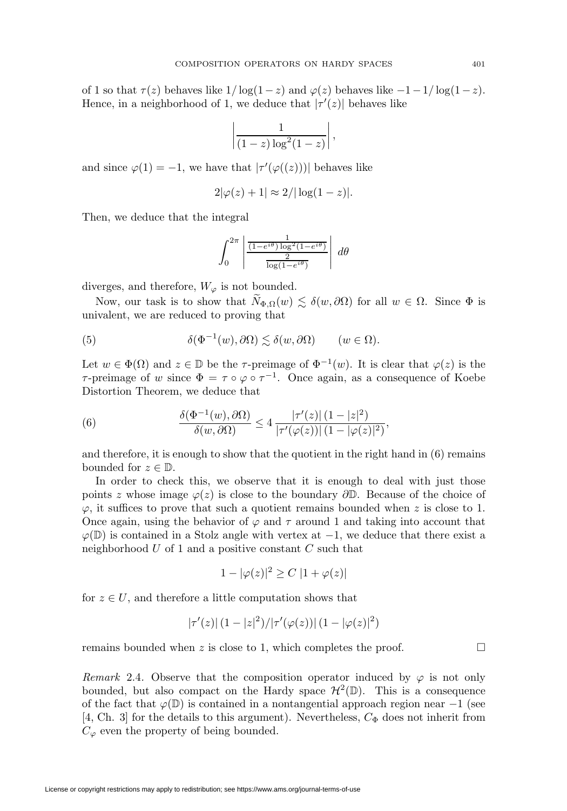of 1 so that  $\tau(z)$  behaves like  $1/\log(1-z)$  and  $\varphi(z)$  behaves like  $-1-1/\log(1-z)$ . Hence, in a neighborhood of 1, we deduce that  $|\tau'(z)|$  behaves like

$$
\left|\frac{1}{(1-z)\log^2(1-z)}\right|,
$$

and since  $\varphi(1) = -1$ , we have that  $|\tau'(\varphi((z)))|$  behaves like

$$
2|\varphi(z)+1| \approx 2/|\log(1-z)|.
$$

Then, we deduce that the integral

$$
\int_0^{2\pi} \left| \frac{\frac{1}{(1 - e^{i\theta}) \log^2(1 - e^{i\theta})}}{\frac{2}{\log(1 - e^{i\theta})}} \right| d\theta
$$

diverges, and therefore,  $W_{\varphi}$  is not bounded.

Now, our task is to show that  $\widetilde{N}_{\Phi,\Omega}(w) \lesssim \delta(w,\partial\Omega)$  for all  $w \in \Omega$ . Since  $\Phi$  is univalent, we are reduced to proving that

(5) 
$$
\delta(\Phi^{-1}(w), \partial\Omega) \lesssim \delta(w, \partial\Omega) \qquad (w \in \Omega).
$$

Let  $w \in \Phi(\Omega)$  and  $z \in \mathbb{D}$  be the  $\tau$ -preimage of  $\Phi^{-1}(w)$ . It is clear that  $\varphi(z)$  is the τ-preimage of w since  $\Phi = \tau \circ \varphi \circ \tau^{-1}$ . Once again, as a consequence of Koebe Distortion Theorem, we deduce that

(6) 
$$
\frac{\delta(\Phi^{-1}(w),\partial\Omega)}{\delta(w,\partial\Omega)} \le 4 \frac{|\tau'(z)| (1-|z|^2)}{|\tau'(\varphi(z))| (1-|\varphi(z)|^2)},
$$

and therefore, it is enough to show that the quotient in the right hand in (6) remains bounded for  $z \in \mathbb{D}$ .

In order to check this, we observe that it is enough to deal with just those points z whose image  $\varphi(z)$  is close to the boundary  $\partial \mathbb{D}$ . Because of the choice of  $\varphi$ , it suffices to prove that such a quotient remains bounded when z is close to 1. Once again, using the behavior of  $\varphi$  and  $\tau$  around 1 and taking into account that  $\varphi(\mathbb{D})$  is contained in a Stolz angle with vertex at  $-1$ , we deduce that there exist a neighborhood  $U$  of 1 and a positive constant  $C$  such that

$$
1 - |\varphi(z)|^2 \ge C |1 + \varphi(z)|
$$

for  $z \in U$ , and therefore a little computation shows that

$$
|\tau'(z)| (1-|z|^2)/|\tau'(\varphi(z))| (1-|\varphi(z)|^2)
$$

remains bounded when  $z$  is close to 1, which completes the proof.

Remark 2.4. Observe that the composition operator induced by  $\varphi$  is not only bounded, but also compact on the Hardy space  $\mathcal{H}^2(\mathbb{D})$ . This is a consequence of the fact that  $\varphi(\mathbb{D})$  is contained in a nontangential approach region near -1 (see [4, Ch. 3] for the details to this argument). Nevertheless,  $C_{\Phi}$  does not inherit from  $C_{\varphi}$  even the property of being bounded.

 $\Box$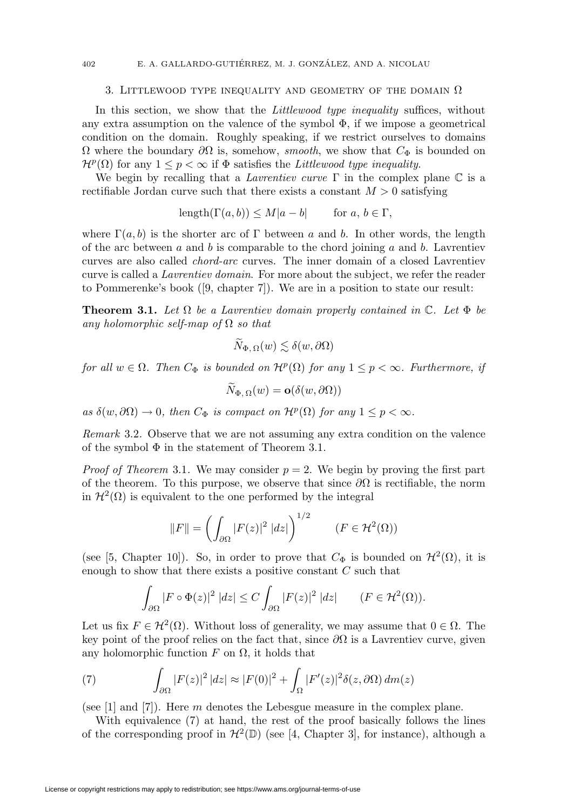#### 402 E. A. GALLARDO-GUTIÉRREZ, M. J. GONZÁLEZ, AND A. NICOLAU

#### 3. LITTLEWOOD TYPE INEQUALITY AND GEOMETRY OF THE DOMAIN  $\Omega$

In this section, we show that the *Littlewood type inequality* suffices, without any extra assumption on the valence of the symbol  $\Phi$ , if we impose a geometrical condition on the domain. Roughly speaking, if we restrict ourselves to domains  $Ω$  where the boundary  $∂Ω$  is, somehow, *smooth*, we show that  $C_{Φ}$  is bounded on  $\mathcal{H}^p(\Omega)$  for any  $1 \leq p < \infty$  if  $\Phi$  satisfies the *Littlewood type inequality*.

We begin by recalling that a *Lavrentiev curve*  $\Gamma$  in the complex plane  $\mathbb C$  is a rectifiable Jordan curve such that there exists a constant  $M > 0$  satisfying

 $\text{length}(\Gamma(a, b)) \leq M|a - b|$  for  $a, b \in \Gamma$ ,

where  $\Gamma(a, b)$  is the shorter arc of  $\Gamma$  between a and b. In other words, the length of the arc between a and b is comparable to the chord joining a and b. Lavrentiev curves are also called chord-arc curves. The inner domain of a closed Lavrentiev curve is called a Lavrentiev domain. For more about the subject, we refer the reader to Pommerenke's book ([9, chapter 7]). We are in a position to state our result:

**Theorem 3.1.** Let  $\Omega$  be a Lavrentiev domain properly contained in  $\mathbb{C}$ . Let  $\Phi$  be any holomorphic self-map of  $\Omega$  so that

$$
\widetilde{N}_{\Phi,\,\Omega}(w) \lesssim \delta(w,\partial\Omega)
$$

for all  $w \in \Omega$ . Then  $C_{\Phi}$  is bounded on  $\mathcal{H}^p(\Omega)$  for any  $1 \leq p < \infty$ . Furthermore, if

$$
N_{\Phi,\,\Omega}(w)=\mathbf{o}(\delta(w,\partial\Omega))
$$

as  $\delta(w,\partial\Omega)\to 0$ , then  $C_{\Phi}$  is compact on  $\mathcal{H}^{p}(\Omega)$  for any  $1\leq p<\infty$ .

Remark 3.2. Observe that we are not assuming any extra condition on the valence of the symbol  $\Phi$  in the statement of Theorem 3.1.

*Proof of Theorem* 3.1. We may consider  $p = 2$ . We begin by proving the first part of the theorem. To this purpose, we observe that since  $\partial\Omega$  is rectifiable, the norm in  $\mathcal{H}^2(\Omega)$  is equivalent to the one performed by the integral

$$
||F|| = \left(\int_{\partial\Omega} |F(z)|^2 \, |dz|\right)^{1/2} \qquad (F \in \mathcal{H}^2(\Omega))
$$

(see [5, Chapter 10]). So, in order to prove that  $C_{\Phi}$  is bounded on  $\mathcal{H}^2(\Omega)$ , it is enough to show that there exists a positive constant  $C$  such that

$$
\int_{\partial\Omega} |F \circ \Phi(z)|^2 \, |dz| \le C \int_{\partial\Omega} |F(z)|^2 \, |dz| \qquad (F \in \mathcal{H}^2(\Omega)).
$$

Let us fix  $F \in H^2(\Omega)$ . Without loss of generality, we may assume that  $0 \in \Omega$ . The key point of the proof relies on the fact that, since  $\partial\Omega$  is a Lavrentiev curve, given any holomorphic function  $F$  on  $\Omega$ , it holds that

(7) 
$$
\int_{\partial\Omega} |F(z)|^2 |dz| \approx |F(0)|^2 + \int_{\Omega} |F'(z)|^2 \delta(z, \partial\Omega) dm(z)
$$

(see [1] and [7]). Here m denotes the Lebesgue measure in the complex plane.

With equivalence (7) at hand, the rest of the proof basically follows the lines of the corresponding proof in  $\mathcal{H}^2(\mathbb{D})$  (see [4, Chapter 3], for instance), although a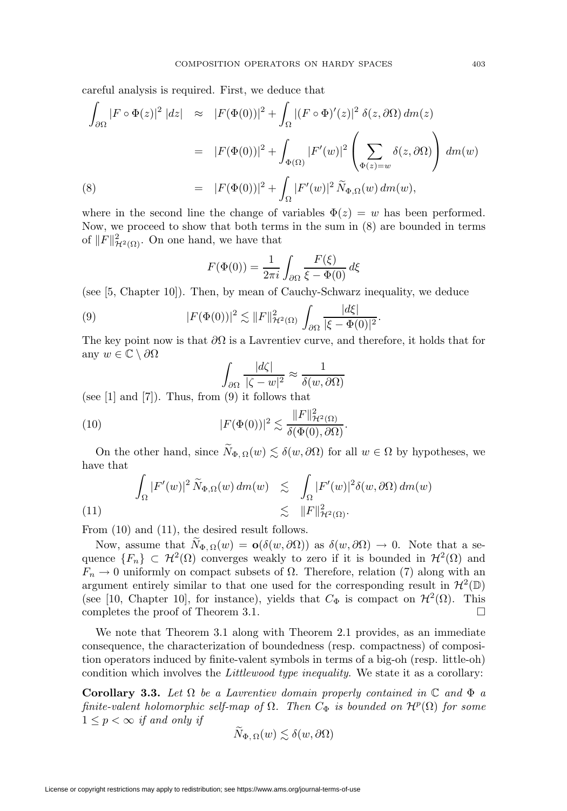careful analysis is required. First, we deduce that

$$
\int_{\partial\Omega} |F \circ \Phi(z)|^2 |dz| \approx |F(\Phi(0))|^2 + \int_{\Omega} |(F \circ \Phi)'(z)|^2 \delta(z, \partial \Omega) dm(z)
$$
  

$$
= |F(\Phi(0))|^2 + \int_{\Phi(\Omega)} |F'(w)|^2 \left(\sum_{\Phi(z)=w} \delta(z, \partial \Omega)\right) dm(w)
$$
  
(8) 
$$
= |F(\Phi(0))|^2 + \int_{\Omega} |F'(w)|^2 \widetilde{N}_{\Phi, \Omega}(w) dm(w),
$$

where in the second line the change of variables  $\Phi(z) = w$  has been performed. Now, we proceed to show that both terms in the sum in (8) are bounded in terms of  $||F||^2_{\mathcal{H}^2(\Omega)}$ . On one hand, we have that

$$
F(\Phi(0)) = \frac{1}{2\pi i} \int_{\partial\Omega} \frac{F(\xi)}{\xi - \Phi(0)} d\xi
$$

(see [5, Chapter 10]). Then, by mean of Cauchy-Schwarz inequality, we deduce

(9) 
$$
|F(\Phi(0))|^2 \lesssim ||F||^2_{\mathcal{H}^2(\Omega)} \int_{\partial\Omega} \frac{d\xi}{|\xi - \Phi(0)|^2}.
$$

The key point now is that  $\partial\Omega$  is a Lavrentiev curve, and therefore, it holds that for any  $w \in \mathbb{C} \setminus \partial \Omega$ 

$$
\int_{\partial\Omega} \frac{|d\zeta|}{|\zeta - w|^2} \approx \frac{1}{\delta(w, \partial\Omega)}
$$

(see  $[1]$  and  $[7]$ ). Thus, from  $(9)$  it follows that

(10) 
$$
|F(\Phi(0))|^2 \lesssim \frac{\|F\|_{\mathcal{H}^2(\Omega)}^2}{\delta(\Phi(0), \partial\Omega)}.
$$

On the other hand, since  $\widetilde{N}_{\Phi,\Omega}(w) \lesssim \delta(w,\partial\Omega)$  for all  $w \in \Omega$  by hypotheses, we have that

$$
\int_{\Omega} |F'(w)|^2 \, \widetilde{N}_{\Phi,\Omega}(w) \, dm(w) \quad \lesssim \quad \int_{\Omega} |F'(w)|^2 \delta(w,\partial\Omega) \, dm(w) \\ \lesssim \quad \|F\|_{\mathcal{H}^2(\Omega)}^2.
$$

From (10) and (11), the desired result follows.

Now, assume that  $\widetilde{N}_{\Phi,\Omega}(w) = \mathbf{o}(\delta(w,\partial\Omega))$  as  $\delta(w,\partial\Omega) \to 0$ . Note that a sequence  ${F_n}\subset H^2(\Omega)$  converges weakly to zero if it is bounded in  $H^2(\Omega)$  and  $F_n \to 0$  uniformly on compact subsets of  $\Omega$ . Therefore, relation (7) along with an argument entirely similar to that one used for the corresponding result in  $\mathcal{H}^2(\mathbb{D})$ (see [10, Chapter 10], for instance), yields that  $C_{\Phi}$  is compact on  $\mathcal{H}^2(\Omega)$ . This completes the proof of Theorem 3.1.  $\Box$ 

We note that Theorem 3.1 along with Theorem 2.1 provides, as an immediate consequence, the characterization of boundedness (resp. compactness) of composition operators induced by finite-valent symbols in terms of a big-oh (resp. little-oh) condition which involves the Littlewood type inequality. We state it as a corollary:

**Corollary 3.3.** Let  $\Omega$  be a Lavrentiev domain properly contained in  $\mathbb C$  and  $\Phi$  a finite-valent holomorphic self-map of  $\Omega$ . Then  $C_{\Phi}$  is bounded on  $\mathcal{H}^p(\Omega)$  for some  $1 \leq p < \infty$  if and only if

$$
\widetilde{N}_{\Phi,\,\Omega}(w) \lesssim \delta(w,\partial\Omega)
$$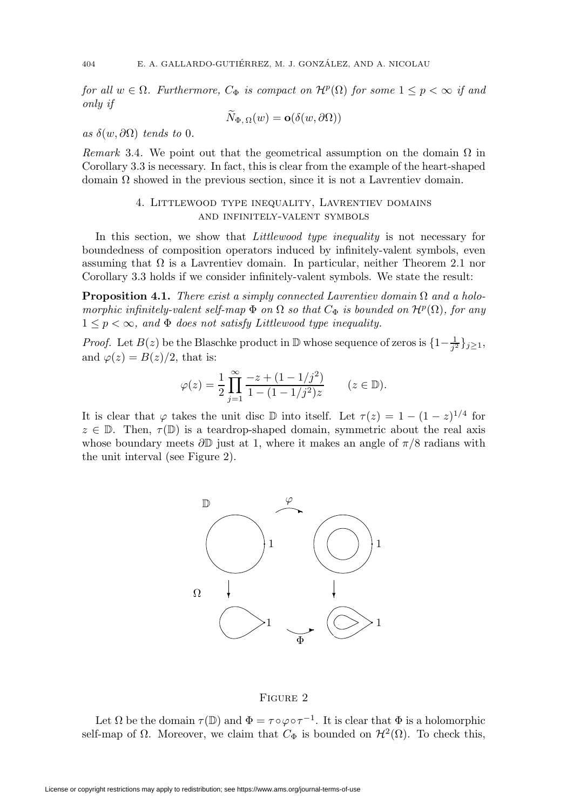for all  $w \in \Omega$ . Furthermore,  $C_{\Phi}$  is compact on  $\mathcal{H}^p(\Omega)$  for some  $1 \leq p < \infty$  if and only if

$$
N_{\Phi,\,\Omega}(w)=\mathbf{o}(\delta(w,\partial\Omega))
$$

as  $\delta(w, \partial\Omega)$  tends to 0.

Remark 3.4. We point out that the geometrical assumption on the domain  $\Omega$  in Corollary 3.3 is necessary. In fact, this is clear from the example of the heart-shaped domain  $\Omega$  showed in the previous section, since it is not a Lavrentiev domain.

# 4. Littlewood type inequality, Lavrentiev domains and infinitely-valent symbols

In this section, we show that *Littlewood type inequality* is not necessary for boundedness of composition operators induced by infinitely-valent symbols, even assuming that  $\Omega$  is a Lavrentiev domain. In particular, neither Theorem 2.1 nor Corollary 3.3 holds if we consider infinitely-valent symbols. We state the result:

**Proposition 4.1.** There exist a simply connected Lavrentiev domain  $\Omega$  and a holomorphic infinitely-valent self-map  $\Phi$  on  $\Omega$  so that  $C_{\Phi}$  is bounded on  $\mathcal{H}^p(\Omega)$ , for any  $1 \leq p < \infty$ , and  $\Phi$  does not satisfy Littlewood type inequality.

*Proof.* Let  $B(z)$  be the Blaschke product in  $\mathbb D$  whose sequence of zeros is  $\{1-\frac{1}{j^2}\}_{j\geq 1}$ , and  $\varphi(z) = B(z)/2$ , that is:

$$
\varphi(z) = \frac{1}{2} \prod_{j=1}^{\infty} \frac{-z + (1 - 1/j^2)}{1 - (1 - 1/j^2)z} \qquad (z \in \mathbb{D}).
$$

It is clear that  $\varphi$  takes the unit disc D into itself. Let  $\tau(z)=1 - (1 - z)^{1/4}$  for  $z \in \mathbb{D}$ . Then,  $\tau(\mathbb{D})$  is a teardrop-shaped domain, symmetric about the real axis whose boundary meets  $\partial \mathbb{D}$  just at 1, where it makes an angle of  $\pi/8$  radians with the unit interval (see Figure 2).



# Figure 2

Let  $\Omega$  be the domain  $\tau(\mathbb{D})$  and  $\Phi = \tau \circ \varphi \circ \tau^{-1}$ . It is clear that  $\Phi$  is a holomorphic self-map of  $\Omega$ . Moreover, we claim that  $C_{\Phi}$  is bounded on  $\mathcal{H}^2(\Omega)$ . To check this,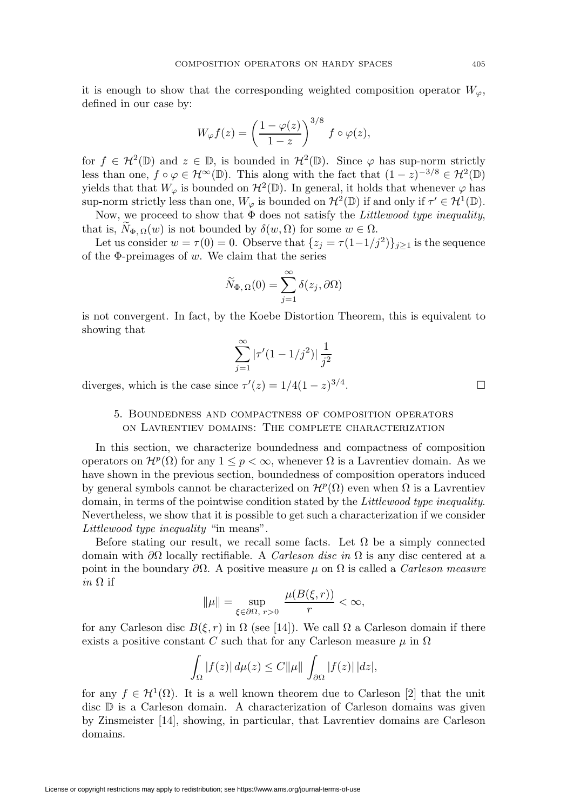it is enough to show that the corresponding weighted composition operator  $W_{\varphi}$ , defined in our case by:

$$
W_{\varphi}f(z) = \left(\frac{1-\varphi(z)}{1-z}\right)^{3/8} f \circ \varphi(z),
$$

for  $f \in \mathcal{H}^2(\mathbb{D})$  and  $z \in \mathbb{D}$ , is bounded in  $\mathcal{H}^2(\mathbb{D})$ . Since  $\varphi$  has sup-norm strictly less than one,  $f \circ \varphi \in \mathcal{H}^{\infty}(\mathbb{D})$ . This along with the fact that  $(1-z)^{-3/8} \in \mathcal{H}^{2}(\mathbb{D})$ yields that that  $W_{\varphi}$  is bounded on  $\mathcal{H}^2(\mathbb{D})$ . In general, it holds that whenever  $\varphi$  has sup-norm strictly less than one,  $W_{\varphi}$  is bounded on  $\mathcal{H}^2(\mathbb{D})$  if and only if  $\tau' \in \mathcal{H}^1(\mathbb{D})$ .

Now, we proceed to show that  $\Phi$  does not satisfy the *Littlewood type inequality*, that is,  $N_{\Phi,\Omega}(w)$  is not bounded by  $\delta(w,\Omega)$  for some  $w \in \Omega$ .

Let us consider  $w = \tau(0) = 0$ . Observe that  $\{z_j = \tau(1-1/j^2)\}_{j\geq 1}$  is the sequence of the  $\Phi$ -preimages of w. We claim that the series

$$
\widetilde{N}_{\Phi,\,\Omega}(0) = \sum_{j=1}^{\infty} \delta(z_j, \partial \Omega)
$$

is not convergent. In fact, by the Koebe Distortion Theorem, this is equivalent to showing that

$$
\sum_{j=1}^{\infty} |\tau'(1-1/j^2)| \frac{1}{j^2}
$$

diverges, which is the case since  $\tau'(z) = 1/4(1-z)^{3/4}$ .

# 5. Boundedness and compactness of composition operators on Lavrentiev domains: The complete characterization

In this section, we characterize boundedness and compactness of composition operators on  $\mathcal{H}^p(\Omega)$  for any  $1 \leq p < \infty$ , whenever  $\Omega$  is a Lavrentiev domain. As we have shown in the previous section, boundedness of composition operators induced by general symbols cannot be characterized on  $\mathcal{H}^p(\Omega)$  even when  $\Omega$  is a Lavrentiev domain, in terms of the pointwise condition stated by the Littlewood type inequality. Nevertheless, we show that it is possible to get such a characterization if we consider Littlewood type inequality "in means".

Before stating our result, we recall some facts. Let  $\Omega$  be a simply connected domain with  $\partial\Omega$  locally rectifiable. A *Carleson disc in*  $\Omega$  is any disc centered at a point in the boundary  $\partial\Omega$ . A positive measure  $\mu$  on  $\Omega$  is called a *Carleson measure* in  $\Omega$  if

$$
\|\mu\| = \sup_{\xi \in \partial\Omega, \ r>0} \ \frac{\mu(B(\xi, r))}{r} < \infty,
$$

for any Carleson disc  $B(\xi, r)$  in  $\Omega$  (see [14]). We call  $\Omega$  a Carleson domain if there exists a positive constant C such that for any Carleson measure  $\mu$  in  $\Omega$ 

$$
\int_{\Omega} |f(z)| d\mu(z) \leq C ||\mu|| \int_{\partial \Omega} |f(z)| |dz|,
$$

for any  $f \in H^1(\Omega)$ . It is a well known theorem due to Carleson [2] that the unit disc D is a Carleson domain. A characterization of Carleson domains was given by Zinsmeister [14], showing, in particular, that Lavrentiev domains are Carleson domains.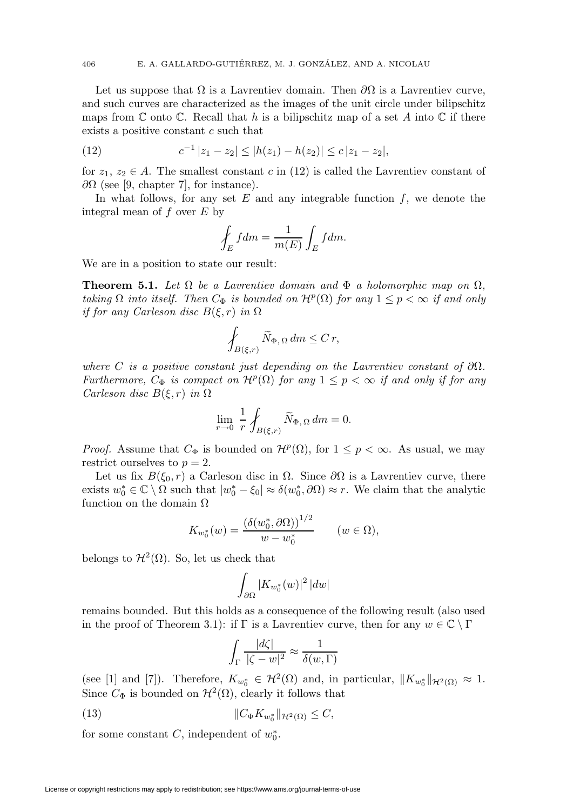Let us suppose that  $\Omega$  is a Lavrentiev domain. Then  $\partial\Omega$  is a Lavrentiev curve, and such curves are characterized as the images of the unit circle under bilipschitz maps from  $\mathbb C$  onto  $\mathbb C$ . Recall that h is a bilipschitz map of a set A into  $\mathbb C$  if there exists a positive constant c such that

(12) 
$$
c^{-1} |z_1 - z_2| \le |h(z_1) - h(z_2)| \le c |z_1 - z_2|,
$$

for  $z_1, z_2 \in A$ . The smallest constant c in (12) is called the Lavrentiev constant of  $\partial\Omega$  (see [9, chapter 7], for instance).

In what follows, for any set  $E$  and any integrable function  $f$ , we denote the integral mean of f over E by

$$
\oint_E f dm = \frac{1}{m(E)} \int_E f dm.
$$

We are in a position to state our result:

**Theorem 5.1.** Let  $\Omega$  be a Lavrentiev domain and  $\Phi$  a holomorphic map on  $\Omega$ , taking  $\Omega$  into itself. Then  $C_{\Phi}$  is bounded on  $\mathcal{H}^p(\Omega)$  for any  $1 \leq p < \infty$  if and only if for any Carleson disc  $B(\xi,r)$  in  $\Omega$ 

$$
\oint_{B(\xi,r)} \widetilde{N}_{\Phi,\,\Omega} \, dm \leq C \, r,
$$

where C is a positive constant just depending on the Lavrentiev constant of  $\partial\Omega$ . Furthermore,  $C_{\Phi}$  is compact on  $\mathcal{H}^p(\Omega)$  for any  $1 \leq p < \infty$  if and only if for any Carleson disc  $B(\xi,r)$  in  $\Omega$ 

$$
\lim_{r \to 0} \frac{1}{r} \oint_{B(\xi,r)} \widetilde{N}_{\Phi,\,\Omega} \, dm = 0.
$$

*Proof.* Assume that  $C_{\Phi}$  is bounded on  $\mathcal{H}^p(\Omega)$ , for  $1 \leq p < \infty$ . As usual, we may restrict ourselves to  $p = 2$ .

Let us fix  $B(\xi_0, r)$  a Carleson disc in  $\Omega$ . Since  $\partial\Omega$  is a Lavrentiev curve, there exists  $w_0^* \in \mathbb{C} \setminus \Omega$  such that  $|w_0^* - \xi_0| \approx \delta(w_0^*, \partial \Omega) \approx r$ . We claim that the analytic function on the domain  $\Omega$ 

$$
K_{w_0^*}(w) = \frac{\left(\delta(w_0^*, \partial \Omega)\right)^{1/2}}{w - w_0^*} \qquad (w \in \Omega),
$$

belongs to  $\mathcal{H}^2(\Omega)$ . So, let us check that

$$
\int_{\partial\Omega} |K_{w_0^*}(w)|^2 \, |dw|
$$

remains bounded. But this holds as a consequence of the following result (also used in the proof of Theorem 3.1): if  $\Gamma$  is a Lavrentiev curve, then for any  $w \in \mathbb{C} \setminus \Gamma$ 

$$
\int_{\Gamma} \frac{|d\zeta|}{|\zeta - w|^2} \approx \frac{1}{\delta(w, \Gamma)}
$$

(see [1] and [7]). Therefore,  $K_{w_0^*} \in \mathcal{H}^2(\Omega)$  and, in particular,  $||K_{w_0^*}||_{\mathcal{H}^2(\Omega)} \approx 1$ . Since  $C_{\Phi}$  is bounded on  $\mathcal{H}^2(\Omega)$ , clearly it follows that

(13) 
$$
||C_{\Phi} K_{w_0^*}||_{\mathcal{H}^2(\Omega)} \leq C,
$$

for some constant  $C$ , independent of  $w_0^*$ .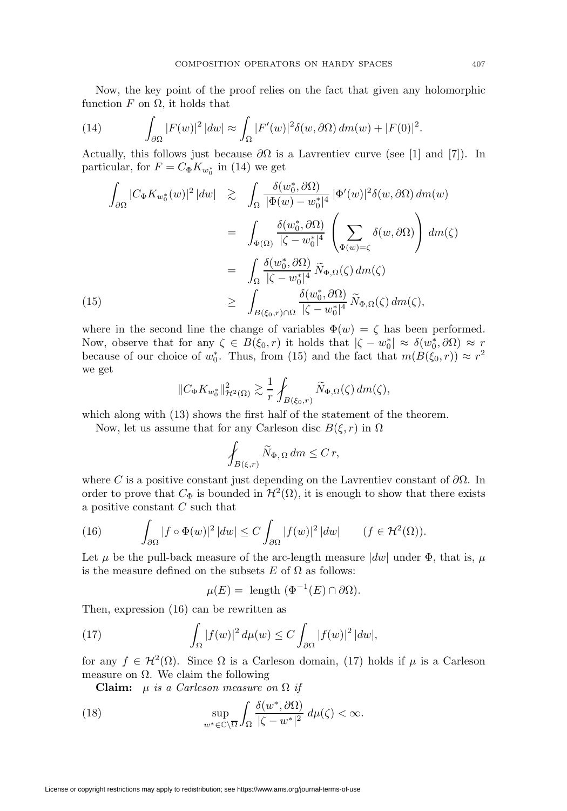Now, the key point of the proof relies on the fact that given any holomorphic function  $F$  on  $\Omega$ , it holds that

(14) 
$$
\int_{\partial\Omega} |F(w)|^2 |dw| \approx \int_{\Omega} |F'(w)|^2 \delta(w, \partial\Omega) dm(w) + |F(0)|^2.
$$

Actually, this follows just because  $\partial\Omega$  is a Lavrentiev curve (see [1] and [7]). In particular, for  $F = C_{\Phi} K_{w_0^*}$  in (14) we get

$$
\int_{\partial\Omega} |C_{\Phi} K_{w_{0}^{*}}(w)|^{2} |dw| \geq \int_{\Omega} \frac{\delta(w_{0}^{*}, \partial \Omega)}{|\Phi(w) - w_{0}^{*}|^{4}} |\Phi'(w)|^{2} \delta(w, \partial\Omega) dm(w)
$$
\n
$$
= \int_{\Phi(\Omega)} \frac{\delta(w_{0}^{*}, \partial\Omega)}{|\zeta - w_{0}^{*}|^{4}} \left( \sum_{\Phi(w) = \zeta} \delta(w, \partial\Omega) \right) dm(\zeta)
$$
\n
$$
= \int_{\Omega} \frac{\delta(w_{0}^{*}, \partial\Omega)}{|\zeta - w_{0}^{*}|^{4}} \widetilde{N}_{\Phi,\Omega}(\zeta) dm(\zeta)
$$
\n(15)\n
$$
\geq \int_{B(\xi_{0}, r) \cap \Omega} \frac{\delta(w_{0}^{*}, \partial\Omega)}{|\zeta - w_{0}^{*}|^{4}} \widetilde{N}_{\Phi,\Omega}(\zeta) dm(\zeta),
$$

where in the second line the change of variables  $\Phi(w) = \zeta$  has been performed. Now, observe that for any  $\zeta \in B(\xi_0, r)$  it holds that  $|\zeta - w_0^*| \approx \delta(w_0^*, \partial \Omega) \approx r$ because of our choice of  $w_0^*$ . Thus, from (15) and the fact that  $m(B(\xi_0, r)) \approx r^2$ we get

$$
||C_{\Phi}K_{w_0^*}||_{\mathcal{H}^2(\Omega)}^2 \gtrsim \frac{1}{r} \oint_{B(\xi_0,r)} \widetilde{N}_{\Phi,\Omega}(\zeta) dm(\zeta),
$$

which along with  $(13)$  shows the first half of the statement of the theorem.

Now, let us assume that for any Carleson disc  $B(\xi, r)$  in  $\Omega$ 

$$
\oint_{B(\xi,r)} \widetilde{N}_{\Phi,\,\Omega} \, dm \leq C \, r,
$$

where C is a positive constant just depending on the Lavrentiev constant of  $\partial\Omega$ . In order to prove that  $C_{\Phi}$  is bounded in  $\mathcal{H}^2(\Omega)$ , it is enough to show that there exists a positive constant C such that

(16) 
$$
\int_{\partial\Omega} |f \circ \Phi(w)|^2 |dw| \leq C \int_{\partial\Omega} |f(w)|^2 |dw| \qquad (f \in \mathcal{H}^2(\Omega)).
$$

Let  $\mu$  be the pull-back measure of the arc-length measure  $|dw|$  under  $\Phi$ , that is,  $\mu$ is the measure defined on the subsets  $E$  of  $\Omega$  as follows:

$$
\mu(E) = \text{ length } (\Phi^{-1}(E) \cap \partial \Omega).
$$

Then, expression (16) can be rewritten as

(17) 
$$
\int_{\Omega} |f(w)|^2 d\mu(w) \leq C \int_{\partial \Omega} |f(w)|^2 |dw|,
$$

for any  $f \in \mathcal{H}^2(\Omega)$ . Since  $\Omega$  is a Carleson domain, (17) holds if  $\mu$  is a Carleson measure on  $\Omega$ . We claim the following

**Claim:**  $\mu$  is a Carleson measure on  $\Omega$  if

(18) 
$$
\sup_{w^* \in \mathbb{C} \backslash \overline{\Omega}} \int_{\Omega} \frac{\delta(w^*, \partial \Omega)}{|\zeta - w^*|^2} d\mu(\zeta) < \infty.
$$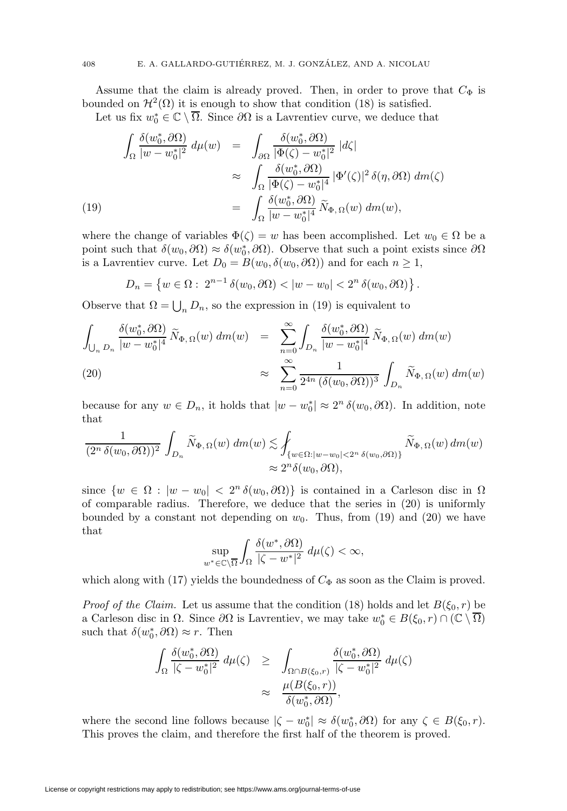Assume that the claim is already proved. Then, in order to prove that  $C_{\Phi}$  is bounded on  $\mathcal{H}^2(\Omega)$  it is enough to show that condition (18) is satisfied.

Let us fix  $w_0^* \in \mathbb{C} \setminus \overline{\Omega}$ . Since  $\partial \Omega$  is a Lavrentiev curve, we deduce that

$$
\int_{\Omega} \frac{\delta(w_0^*, \partial \Omega)}{|w - w_0^*|^2} d\mu(w) = \int_{\partial \Omega} \frac{\delta(w_0^*, \partial \Omega)}{|\Phi(\zeta) - w_0^*|^2} |d\zeta|
$$
  
\n
$$
\approx \int_{\Omega} \frac{\delta(w_0^*, \partial \Omega)}{|\Phi(\zeta) - w_0^*|^4} |\Phi'(\zeta)|^2 \delta(\eta, \partial \Omega) d\mu(\zeta)
$$
  
\n(19)  
\n
$$
= \int_{\Omega} \frac{\delta(w_0^*, \partial \Omega)}{|w - w_0^*|^4} \widetilde{N}_{\Phi, \Omega}(w) d\mu(w),
$$

where the change of variables  $\Phi(\zeta) = w$  has been accomplished. Let  $w_0 \in \Omega$  be a point such that  $\delta(w_0, \partial \Omega) \approx \delta(w_0^*, \partial \Omega)$ . Observe that such a point exists since  $\partial \Omega$ is a Lavrentiev curve. Let  $D_0 = B(w_0, \delta(w_0, \partial \Omega))$  and for each  $n \geq 1$ ,

$$
D_n = \left\{ w \in \Omega : \ 2^{n-1} \, \delta(w_0, \partial \Omega) < |w - w_0| < 2^n \, \delta(w_0, \partial \Omega) \right\}.
$$

Observe that  $\Omega = \bigcup_n D_n$ , so the expression in (19) is equivalent to

$$
\int_{\bigcup_{n} D_{n}} \frac{\delta(w_{0}^{*}, \partial \Omega)}{|w - w_{0}^{*}|^{4}} \widetilde{N}_{\Phi, \Omega}(w) dm(w) = \sum_{n=0}^{\infty} \int_{D_{n}} \frac{\delta(w_{0}^{*}, \partial \Omega)}{|w - w_{0}^{*}|^{4}} \widetilde{N}_{\Phi, \Omega}(w) dm(w)
$$
\n
$$
\approx \sum_{n=0}^{\infty} \frac{1}{2^{4n} (\delta(w_{0}, \partial \Omega))^{3}} \int_{D_{n}} \widetilde{N}_{\Phi, \Omega}(w) dm(w)
$$

because for any  $w \in D_n$ , it holds that  $|w - w_0^*| \approx 2^n \delta(w_0, \partial \Omega)$ . In addition, note that

$$
\frac{1}{(2^n \,\delta(w_0, \partial \Omega))^2} \int_{D_n} \widetilde{N}_{\Phi,\,\Omega}(w) \, dm(w) \lesssim \oint_{\{w \in \Omega : |w - w_0| < 2^n \,\delta(w_0, \partial \Omega)\}} \widetilde{N}_{\Phi,\,\Omega}(w) \, dm(w) \approx 2^n \delta(w_0, \partial \Omega),
$$

since  $\{w \in \Omega : |w - w_0| < 2^n \delta(w_0, \partial \Omega)\}\$ is contained in a Carleson disc in  $\Omega$ of comparable radius. Therefore, we deduce that the series in (20) is uniformly bounded by a constant not depending on  $w_0$ . Thus, from (19) and (20) we have that

$$
\sup_{w^*\in\mathbb{C}\backslash\overline{\Omega}}\int_{\Omega}\frac{\delta(w^*,\partial\Omega)}{|\zeta-w^*|^2}\,d\mu(\zeta)<\infty,
$$

which along with (17) yields the boundedness of  $C_{\Phi}$  as soon as the Claim is proved.

*Proof of the Claim.* Let us assume that the condition (18) holds and let  $B(\xi_0, r)$  be a Carleson disc in  $\Omega$ . Since  $\partial\Omega$  is Lavrentiev, we may take  $w_0^* \in B(\xi_0, r) \cap (\mathbb{C} \setminus \overline{\Omega})$ such that  $\delta(w_0^*, \partial \Omega) \approx r$ . Then

$$
\int_{\Omega} \frac{\delta(w_0^*, \partial \Omega)}{|\zeta - w_0^*|^2} d\mu(\zeta) \ge \int_{\Omega \cap B(\xi_0, r)} \frac{\delta(w_0^*, \partial \Omega)}{|\zeta - w_0^*|^2} d\mu(\zeta)
$$

$$
\approx \frac{\mu(B(\xi_0, r))}{\delta(w_0^*, \partial \Omega)},
$$

where the second line follows because  $|\zeta - w_0^*| \approx \delta(w_0^*, \partial \Omega)$  for any  $\zeta \in B(\xi_0, r)$ . This proves the claim, and therefore the first half of the theorem is proved.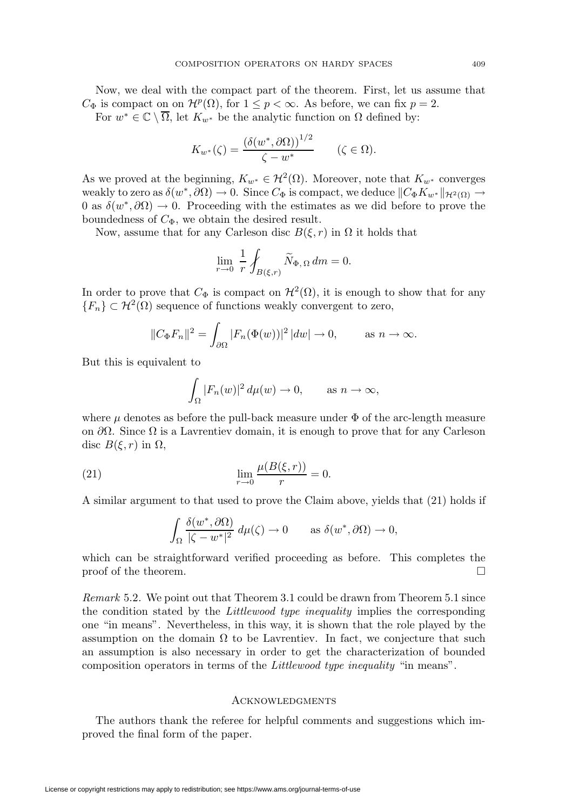Now, we deal with the compact part of the theorem. First, let us assume that  $C_{\Phi}$  is compact on on  $\mathcal{H}^p(\Omega)$ , for  $1 \leq p < \infty$ . As before, we can fix  $p = 2$ .

For  $w^* \in \mathbb{C} \setminus \overline{\Omega}$ , let  $K_{w^*}$  be the analytic function on  $\Omega$  defined by:

$$
K_{w^*}(\zeta) = \frac{\left(\delta(w^*, \partial \Omega)\right)^{1/2}}{\zeta - w^*} \qquad (\zeta \in \Omega).
$$

As we proved at the beginning,  $K_{w^*} \in \mathcal{H}^2(\Omega)$ . Moreover, note that  $K_{w^*}$  converges weakly to zero as  $\delta(w^*, \partial \Omega) \to 0$ . Since  $C_{\Phi}$  is compact, we deduce  $||C_{\Phi} K_{w^*}||_{\mathcal{H}^2(\Omega)} \to$ 0 as  $\delta(w^*, \partial\Omega) \to 0$ . Proceeding with the estimates as we did before to prove the boundedness of  $C_{\Phi}$ , we obtain the desired result.

Now, assume that for any Carleson disc  $B(\xi,r)$  in  $\Omega$  it holds that

$$
\lim_{r \to 0} \frac{1}{r} \oint_{B(\xi,r)} \widetilde{N}_{\Phi,\,\Omega} \, dm = 0.
$$

In order to prove that  $C_{\Phi}$  is compact on  $\mathcal{H}^2(\Omega)$ , it is enough to show that for any  ${F_n}\subset\mathcal{H}^2(\Omega)$  sequence of functions weakly convergent to zero,

$$
||C_{\Phi}F_n||^2 = \int_{\partial\Omega} |F_n(\Phi(w))|^2 |dw| \to 0, \quad \text{as } n \to \infty.
$$

But this is equivalent to

$$
\int_{\Omega} |F_n(w)|^2 d\mu(w) \to 0, \quad \text{as } n \to \infty,
$$

where  $\mu$  denotes as before the pull-back measure under  $\Phi$  of the arc-length measure on  $\partial\Omega$ . Since  $\Omega$  is a Lavrentiev domain, it is enough to prove that for any Carleson disc  $B(\xi, r)$  in  $\Omega$ ,

(21) 
$$
\lim_{r \to 0} \frac{\mu(B(\xi, r))}{r} = 0.
$$

A similar argument to that used to prove the Claim above, yields that (21) holds if

$$
\int_{\Omega} \frac{\delta(w^*, \partial \Omega)}{|\zeta - w^*|^2} d\mu(\zeta) \to 0 \quad \text{as } \delta(w^*, \partial \Omega) \to 0,
$$

which can be straightforward verified proceeding as before. This completes the proof of the theorem.  $\Box$ 

Remark 5.2. We point out that Theorem 3.1 could be drawn from Theorem 5.1 since the condition stated by the Littlewood type inequality implies the corresponding one "in means". Nevertheless, in this way, it is shown that the role played by the assumption on the domain  $\Omega$  to be Lavrentiev. In fact, we conjecture that such an assumption is also necessary in order to get the characterization of bounded composition operators in terms of the Littlewood type inequality "in means".

# **ACKNOWLEDGMENTS**

The authors thank the referee for helpful comments and suggestions which improved the final form of the paper.